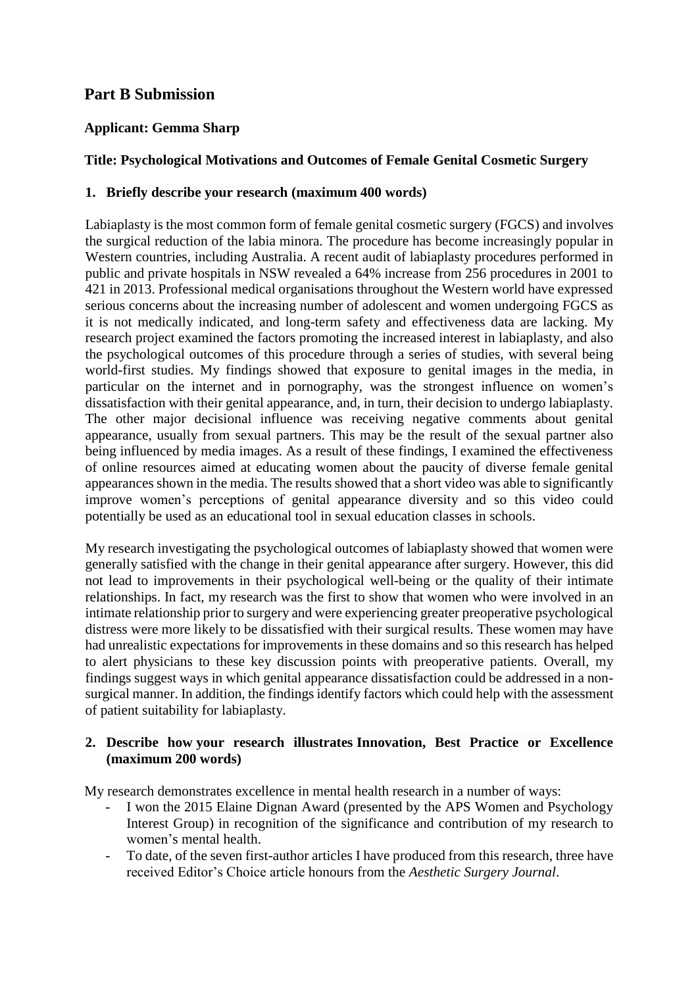# **Part B Submission**

### **Applicant: Gemma Sharp**

### **Title: Psychological Motivations and Outcomes of Female Genital Cosmetic Surgery**

#### **1. Briefly describe your research (maximum 400 words)**

Labiaplasty is the most common form of female genital cosmetic surgery (FGCS) and involves the surgical reduction of the labia minora. The procedure has become increasingly popular in Western countries, including Australia. A recent audit of labiaplasty procedures performed in public and private hospitals in NSW revealed a 64% increase from 256 procedures in 2001 to 421 in 2013. Professional medical organisations throughout the Western world have expressed serious concerns about the increasing number of adolescent and women undergoing FGCS as it is not medically indicated, and long-term safety and effectiveness data are lacking. My research project examined the factors promoting the increased interest in labiaplasty, and also the psychological outcomes of this procedure through a series of studies, with several being world-first studies. My findings showed that exposure to genital images in the media, in particular on the internet and in pornography, was the strongest influence on women's dissatisfaction with their genital appearance, and, in turn, their decision to undergo labiaplasty. The other major decisional influence was receiving negative comments about genital appearance, usually from sexual partners. This may be the result of the sexual partner also being influenced by media images. As a result of these findings, I examined the effectiveness of online resources aimed at educating women about the paucity of diverse female genital appearances shown in the media. The results showed that a short video was able to significantly improve women's perceptions of genital appearance diversity and so this video could potentially be used as an educational tool in sexual education classes in schools.

My research investigating the psychological outcomes of labiaplasty showed that women were generally satisfied with the change in their genital appearance after surgery. However, this did not lead to improvements in their psychological well-being or the quality of their intimate relationships. In fact, my research was the first to show that women who were involved in an intimate relationship prior to surgery and were experiencing greater preoperative psychological distress were more likely to be dissatisfied with their surgical results. These women may have had unrealistic expectations for improvements in these domains and so this research has helped to alert physicians to these key discussion points with preoperative patients. Overall, my findings suggest ways in which genital appearance dissatisfaction could be addressed in a nonsurgical manner. In addition, the findings identify factors which could help with the assessment of patient suitability for labiaplasty.

#### **2. Describe how your research illustrates Innovation, Best Practice or Excellence (maximum 200 words)**

My research demonstrates excellence in mental health research in a number of ways:

- I won the 2015 Elaine Dignan Award (presented by the APS Women and Psychology Interest Group) in recognition of the significance and contribution of my research to women's mental health.
- To date, of the seven first-author articles I have produced from this research, three have received Editor's Choice article honours from the *Aesthetic Surgery Journal*.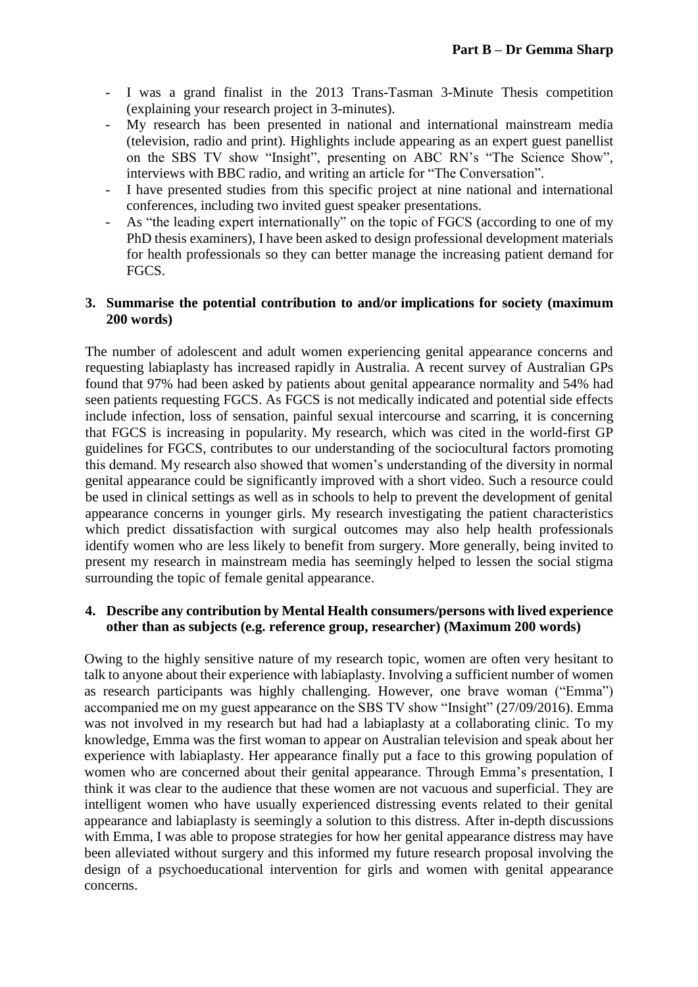- I was a grand finalist in the 2013 Trans-Tasman 3-Minute Thesis competition (explaining your research project in 3-minutes).
- My research has been presented in national and international mainstream media (television, radio and print). Highlights include appearing as an expert guest panellist on the SBS TV show "Insight", presenting on ABC RN's "The Science Show", interviews with BBC radio, and writing an article for "The Conversation".
- I have presented studies from this specific project at nine national and international conferences, including two invited guest speaker presentations.
- As "the leading expert internationally" on the topic of FGCS (according to one of my PhD thesis examiners), I have been asked to design professional development materials for health professionals so they can better manage the increasing patient demand for FGCS.

#### **3. Summarise the potential contribution to and/or implications for society (maximum 200 words)**

The number of adolescent and adult women experiencing genital appearance concerns and requesting labiaplasty has increased rapidly in Australia. A recent survey of Australian GPs found that 97% had been asked by patients about genital appearance normality and 54% had seen patients requesting FGCS. As FGCS is not medically indicated and potential side effects include infection, loss of sensation, painful sexual intercourse and scarring, it is concerning that FGCS is increasing in popularity. My research, which was cited in the world-first GP guidelines for FGCS, contributes to our understanding of the sociocultural factors promoting this demand. My research also showed that women's understanding of the diversity in normal genital appearance could be significantly improved with a short video. Such a resource could be used in clinical settings as well as in schools to help to prevent the development of genital appearance concerns in younger girls. My research investigating the patient characteristics which predict dissatisfaction with surgical outcomes may also help health professionals identify women who are less likely to benefit from surgery. More generally, being invited to present my research in mainstream media has seemingly helped to lessen the social stigma surrounding the topic of female genital appearance.

#### **4. Describe any contribution by Mental Health consumers/persons with lived experience other than as subjects (e.g. reference group, researcher) (Maximum 200 words)**

Owing to the highly sensitive nature of my research topic, women are often very hesitant to talk to anyone about their experience with labiaplasty. Involving a sufficient number of women as research participants was highly challenging. However, one brave woman ("Emma") accompanied me on my guest appearance on the SBS TV show "Insight" (27/09/2016). Emma was not involved in my research but had had a labiaplasty at a collaborating clinic. To my knowledge, Emma was the first woman to appear on Australian television and speak about her experience with labiaplasty. Her appearance finally put a face to this growing population of women who are concerned about their genital appearance. Through Emma's presentation, I think it was clear to the audience that these women are not vacuous and superficial. They are intelligent women who have usually experienced distressing events related to their genital appearance and labiaplasty is seemingly a solution to this distress. After in-depth discussions with Emma, I was able to propose strategies for how her genital appearance distress may have been alleviated without surgery and this informed my future research proposal involving the design of a psychoeducational intervention for girls and women with genital appearance concerns.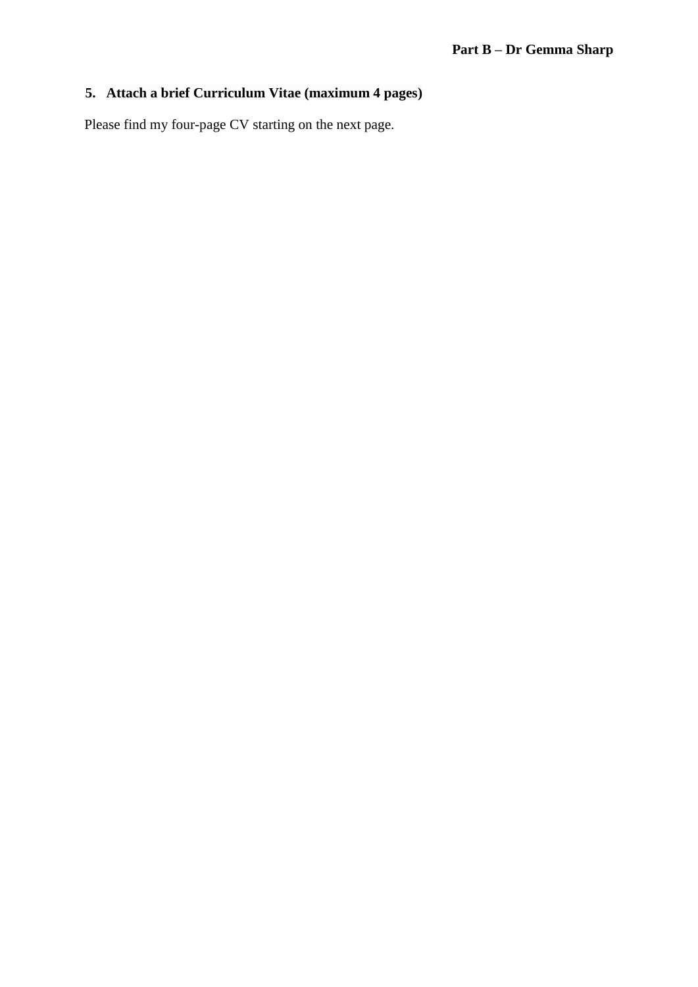# **5. Attach a brief Curriculum Vitae (maximum 4 pages)**

Please find my four-page CV starting on the next page.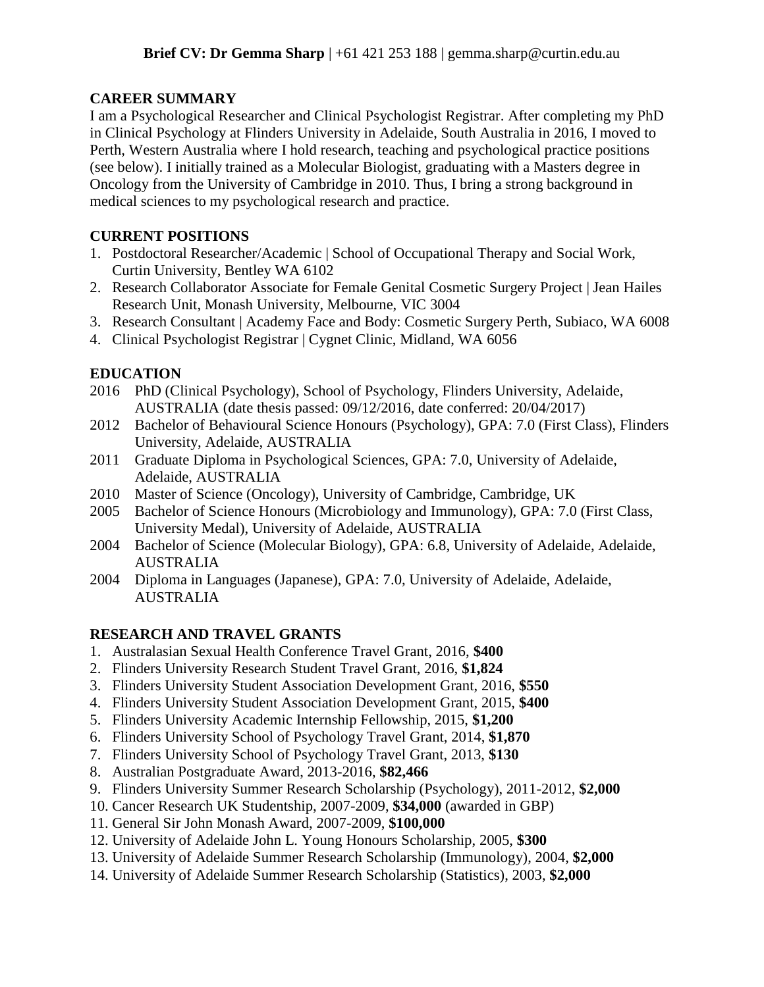### **CAREER SUMMARY**

I am a Psychological Researcher and Clinical Psychologist Registrar. After completing my PhD in Clinical Psychology at Flinders University in Adelaide, South Australia in 2016, I moved to Perth, Western Australia where I hold research, teaching and psychological practice positions (see below). I initially trained as a Molecular Biologist, graduating with a Masters degree in Oncology from the University of Cambridge in 2010. Thus, I bring a strong background in medical sciences to my psychological research and practice.

### **CURRENT POSITIONS**

- 1. Postdoctoral Researcher/Academic | School of Occupational Therapy and Social Work, Curtin University, Bentley WA 6102
- 2. Research Collaborator Associate for Female Genital Cosmetic Surgery Project | Jean Hailes Research Unit, Monash University, Melbourne, VIC 3004
- 3. Research Consultant | Academy Face and Body: Cosmetic Surgery Perth, Subiaco, WA 6008
- 4. Clinical Psychologist Registrar | Cygnet Clinic, Midland, WA 6056

### **EDUCATION**

- 2016 PhD (Clinical Psychology), School of Psychology, Flinders University, Adelaide, AUSTRALIA (date thesis passed: 09/12/2016, date conferred: 20/04/2017)
- 2012 Bachelor of Behavioural Science Honours (Psychology), GPA: 7.0 (First Class), Flinders University, Adelaide, AUSTRALIA
- 2011 Graduate Diploma in Psychological Sciences, GPA: 7.0, University of Adelaide, Adelaide, AUSTRALIA
- 2010 Master of Science (Oncology), University of Cambridge, Cambridge, UK
- 2005 Bachelor of Science Honours (Microbiology and Immunology), GPA: 7.0 (First Class, University Medal), University of Adelaide, AUSTRALIA
- 2004 Bachelor of Science (Molecular Biology), GPA: 6.8, University of Adelaide, Adelaide, AUSTRALIA
- 2004 Diploma in Languages (Japanese), GPA: 7.0, University of Adelaide, Adelaide, AUSTRALIA

# **RESEARCH AND TRAVEL GRANTS**

- 1. Australasian Sexual Health Conference Travel Grant, 2016, **\$400**
- 2. Flinders University Research Student Travel Grant, 2016, **\$1,824**
- 3. Flinders University Student Association Development Grant, 2016, **\$550**
- 4. Flinders University Student Association Development Grant, 2015, **\$400**
- 5. Flinders University Academic Internship Fellowship, 2015, **\$1,200**
- 6. Flinders University School of Psychology Travel Grant, 2014, **\$1,870**
- 7. Flinders University School of Psychology Travel Grant, 2013, **\$130**
- 8. Australian Postgraduate Award, 2013-2016, **\$82,466**
- 9. Flinders University Summer Research Scholarship (Psychology), 2011-2012, **\$2,000**
- 10. Cancer Research UK Studentship, 2007-2009, **\$34,000** (awarded in GBP)
- 11. General Sir John Monash Award, 2007-2009, **\$100,000**
- 12. University of Adelaide John L. Young Honours Scholarship, 2005, **\$300**
- 13. University of Adelaide Summer Research Scholarship (Immunology), 2004, **\$2,000**
- 14. University of Adelaide Summer Research Scholarship (Statistics), 2003, **\$2,000**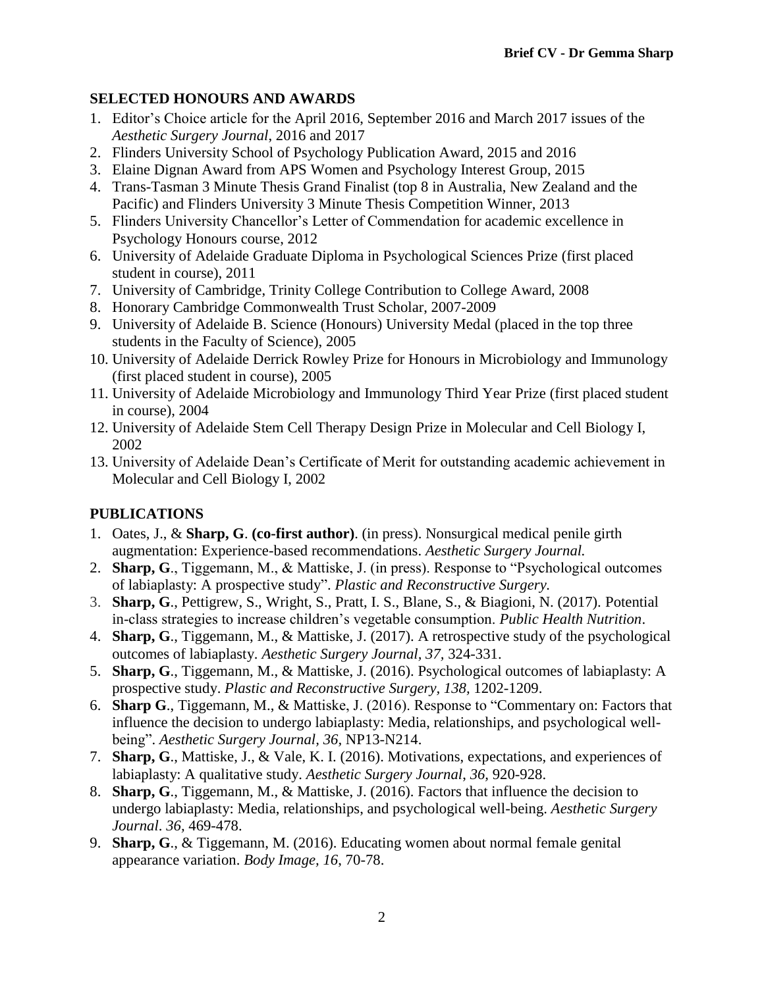### **SELECTED HONOURS AND AWARDS**

- 1. Editor's Choice article for the April 2016, September 2016 and March 2017 issues of the *Aesthetic Surgery Journal*, 2016 and 2017
- 2. Flinders University School of Psychology Publication Award, 2015 and 2016
- 3. Elaine Dignan Award from APS Women and Psychology Interest Group, 2015
- 4. Trans-Tasman 3 Minute Thesis Grand Finalist (top 8 in Australia, New Zealand and the Pacific) and Flinders University 3 Minute Thesis Competition Winner, 2013
- 5. Flinders University Chancellor's Letter of Commendation for academic excellence in Psychology Honours course, 2012
- 6. University of Adelaide Graduate Diploma in Psychological Sciences Prize (first placed student in course), 2011
- 7. University of Cambridge, Trinity College Contribution to College Award, 2008
- 8. Honorary Cambridge Commonwealth Trust Scholar, 2007-2009
- 9. University of Adelaide B. Science (Honours) University Medal (placed in the top three students in the Faculty of Science), 2005
- 10. University of Adelaide Derrick Rowley Prize for Honours in Microbiology and Immunology (first placed student in course), 2005
- 11. University of Adelaide Microbiology and Immunology Third Year Prize (first placed student in course), 2004
- 12. University of Adelaide Stem Cell Therapy Design Prize in Molecular and Cell Biology I, 2002
- 13. University of Adelaide Dean's Certificate of Merit for outstanding academic achievement in Molecular and Cell Biology I, 2002

# **PUBLICATIONS**

- 1. Oates, J., & **Sharp, G**. **(co-first author)**. (in press). Nonsurgical medical penile girth augmentation: Experience-based recommendations. *Aesthetic Surgery Journal.*
- 2. **Sharp, G**., Tiggemann, M., & Mattiske, J. (in press). Response to "Psychological outcomes of labiaplasty: A prospective study". *Plastic and Reconstructive Surgery.*
- 3. **Sharp, G**., Pettigrew, S., Wright, S., Pratt, I. S., Blane, S., & Biagioni, N. (2017). Potential in-class strategies to increase children's vegetable consumption. *Public Health Nutrition*.
- 4. **Sharp, G**., Tiggemann, M., & Mattiske, J. (2017). A retrospective study of the psychological outcomes of labiaplasty. *Aesthetic Surgery Journal, 37,* 324-331.
- 5. **Sharp, G**., Tiggemann, M., & Mattiske, J. (2016). Psychological outcomes of labiaplasty: A prospective study. *Plastic and Reconstructive Surgery, 138,* 1202-1209.
- 6. **Sharp G**., Tiggemann, M., & Mattiske, J. (2016). Response to "Commentary on: Factors that influence the decision to undergo labiaplasty: Media, relationships, and psychological wellbeing". *Aesthetic Surgery Journal, 36,* NP13-N214.
- 7. **Sharp, G**., Mattiske, J., & Vale, K. I. (2016). Motivations, expectations, and experiences of labiaplasty: A qualitative study. *Aesthetic Surgery Journal*, *36,* 920-928.
- 8. **Sharp, G**., Tiggemann, M., & Mattiske, J. (2016). Factors that influence the decision to undergo labiaplasty: Media, relationships, and psychological well-being. *Aesthetic Surgery Journal*. *36,* 469-478.
- 9. **Sharp, G**., & Tiggemann, M. (2016). Educating women about normal female genital appearance variation. *Body Image, 16*, 70-78.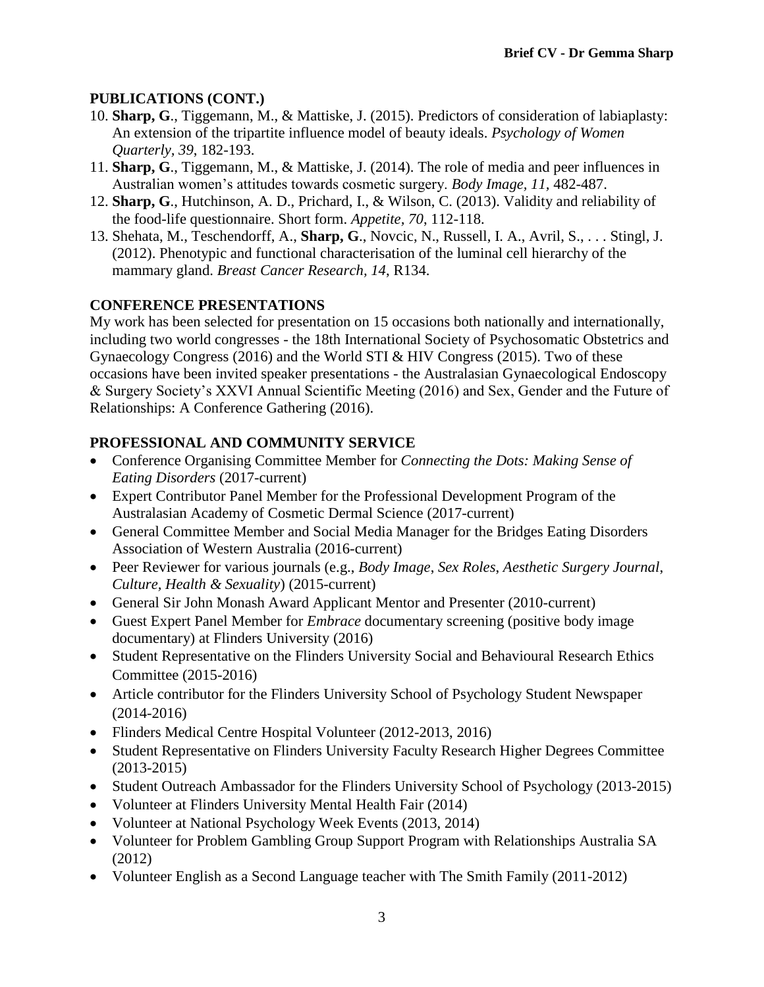### **PUBLICATIONS (CONT.)**

- 10. **Sharp, G**., Tiggemann, M., & Mattiske, J. (2015). Predictors of consideration of labiaplasty: An extension of the tripartite influence model of beauty ideals. *Psychology of Women Quarterly, 39*, 182-193.
- 11. **Sharp, G**., Tiggemann, M., & Mattiske, J. (2014). The role of media and peer influences in Australian women's attitudes towards cosmetic surgery. *Body Image, 11,* 482-487.
- 12. **Sharp, G**., Hutchinson, A. D., Prichard, I., & Wilson, C. (2013). Validity and reliability of the food-life questionnaire. Short form. *Appetite, 70*, 112-118.
- 13. Shehata, M., Teschendorff, A., **Sharp, G**., Novcic, N., Russell, I. A., Avril, S., . . . Stingl, J. (2012). Phenotypic and functional characterisation of the luminal cell hierarchy of the mammary gland. *Breast Cancer Research, 14*, R134.

### **CONFERENCE PRESENTATIONS**

My work has been selected for presentation on 15 occasions both nationally and internationally, including two world congresses - the 18th International Society of Psychosomatic Obstetrics and Gynaecology Congress (2016) and the World STI & HIV Congress (2015). Two of these occasions have been invited speaker presentations - the Australasian Gynaecological Endoscopy & Surgery Society's XXVI Annual Scientific Meeting (2016) and Sex, Gender and the Future of Relationships: A Conference Gathering (2016).

### **PROFESSIONAL AND COMMUNITY SERVICE**

- Conference Organising Committee Member for *Connecting the Dots: Making Sense of Eating Disorders* (2017-current)
- Expert Contributor Panel Member for the Professional Development Program of the Australasian Academy of Cosmetic Dermal Science (2017-current)
- General Committee Member and Social Media Manager for the Bridges Eating Disorders Association of Western Australia (2016-current)
- Peer Reviewer for various journals (e.g., *Body Image*, *Sex Roles*, *Aesthetic Surgery Journal*, *Culture, Health & Sexuality*) (2015-current)
- General Sir John Monash Award Applicant Mentor and Presenter (2010-current)
- Guest Expert Panel Member for *Embrace* documentary screening (positive body image documentary) at Flinders University (2016)
- Student Representative on the Flinders University Social and Behavioural Research Ethics Committee (2015-2016)
- Article contributor for the Flinders University School of Psychology Student Newspaper (2014-2016)
- Flinders Medical Centre Hospital Volunteer (2012-2013, 2016)
- Student Representative on Flinders University Faculty Research Higher Degrees Committee (2013-2015)
- Student Outreach Ambassador for the Flinders University School of Psychology (2013-2015)
- Volunteer at Flinders University Mental Health Fair (2014)
- Volunteer at National Psychology Week Events (2013, 2014)
- Volunteer for Problem Gambling Group Support Program with Relationships Australia SA (2012)
- Volunteer English as a Second Language teacher with The Smith Family (2011-2012)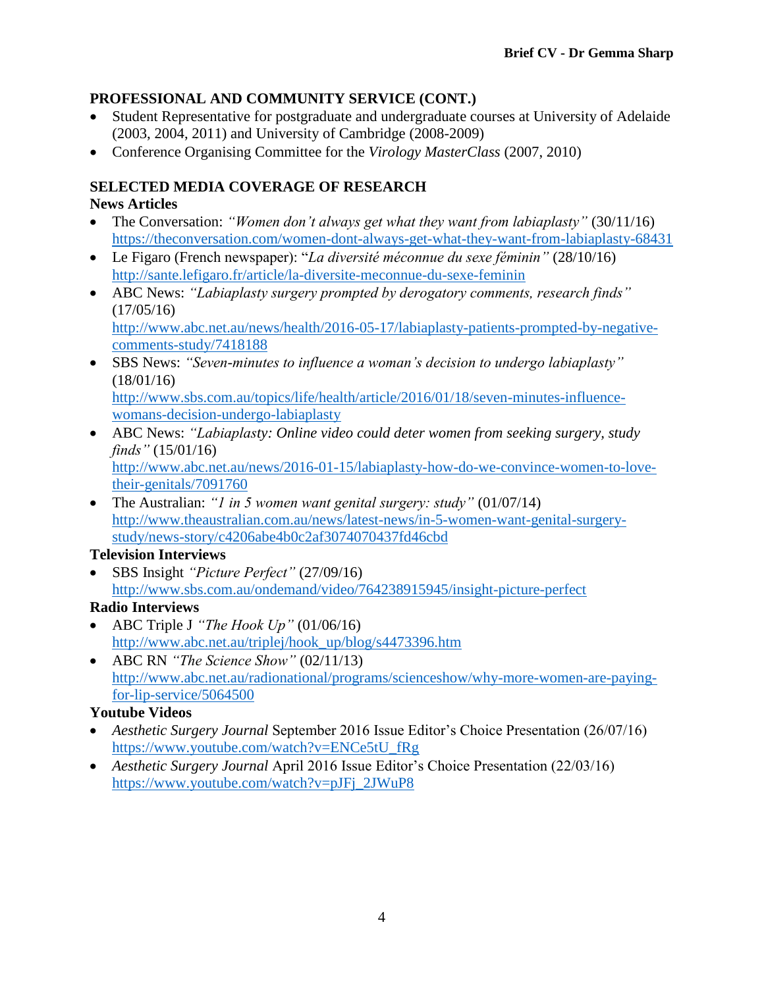### **PROFESSIONAL AND COMMUNITY SERVICE (CONT.)**

- Student Representative for postgraduate and undergraduate courses at University of Adelaide (2003, 2004, 2011) and University of Cambridge (2008-2009)
- Conference Organising Committee for the *Virology MasterClass* (2007, 2010)

### **SELECTED MEDIA COVERAGE OF RESEARCH**

### **News Articles**

- The Conversation: *"Women don't always get what they want from labiaplasty"* (30/11/16) <https://theconversation.com/women-dont-always-get-what-they-want-from-labiaplasty-68431>
- Le Figaro (French newspaper): "*La diversité méconnue du sexe féminin"* (28/10/16) <http://sante.lefigaro.fr/article/la-diversite-meconnue-du-sexe-feminin>
- ABC News: *"Labiaplasty surgery prompted by derogatory comments, research finds"*  $(17/05/16)$

[http://www.abc.net.au/news/health/2016-05-17/labiaplasty-patients-prompted-by-negative](http://www.abc.net.au/news/health/2016-05-17/labiaplasty-patients-prompted-by-negative-comments-study/7418188)[comments-study/7418188](http://www.abc.net.au/news/health/2016-05-17/labiaplasty-patients-prompted-by-negative-comments-study/7418188)

• SBS News: *"Seven-minutes to influence a woman's decision to undergo labiaplasty"*  (18/01/16) [http://www.sbs.com.au/topics/life/health/article/2016/01/18/seven-minutes-influence-](http://www.sbs.com.au/topics/life/health/article/2016/01/18/seven-minutes-influence-womans-decision-undergo-labiaplasty)

[womans-decision-undergo-labiaplasty](http://www.sbs.com.au/topics/life/health/article/2016/01/18/seven-minutes-influence-womans-decision-undergo-labiaplasty)

• ABC News: *"Labiaplasty: Online video could deter women from seeking surgery, study finds"* (15/01/16)

[http://www.abc.net.au/news/2016-01-15/labiaplasty-how-do-we-convince-women-to-love](http://www.abc.net.au/news/2016-01-15/labiaplasty-how-do-we-convince-women-to-love-their-genitals/7091760)[their-genitals/7091760](http://www.abc.net.au/news/2016-01-15/labiaplasty-how-do-we-convince-women-to-love-their-genitals/7091760)

• The Australian: *"1 in 5 women want genital surgery: study"* (01/07/14) [http://www.theaustralian.com.au/news/latest-news/in-5-women-want-genital-surgery](http://www.theaustralian.com.au/news/latest-news/in-5-women-want-genital-surgery-study/news-story/c4206abe4b0c2af3074070437fd46cbd)[study/news-story/c4206abe4b0c2af3074070437fd46cbd](http://www.theaustralian.com.au/news/latest-news/in-5-women-want-genital-surgery-study/news-story/c4206abe4b0c2af3074070437fd46cbd)

### **Television Interviews**

• SBS Insight *"Picture Perfect"* (27/09/16) <http://www.sbs.com.au/ondemand/video/764238915945/insight-picture-perfect>

### **Radio Interviews**

- ABC Triple J *"The Hook Up"* (01/06/16) [http://www.abc.net.au/triplej/hook\\_up/blog/s4473396.htm](http://www.abc.net.au/triplej/hook_up/blog/s4473396.htm)
- ABC RN *"The Science Show"* (02/11/13) [http://www.abc.net.au/radionational/programs/scienceshow/why-more-women-are-paying](http://www.abc.net.au/radionational/programs/scienceshow/why-more-women-are-paying-for-lip-service/5064500)[for-lip-service/5064500](http://www.abc.net.au/radionational/programs/scienceshow/why-more-women-are-paying-for-lip-service/5064500)

### **Youtube Videos**

- *Aesthetic Surgery Journal* September 2016 Issue Editor's Choice Presentation (26/07/16) [https://www.youtube.com/watch?v=ENCe5tU\\_fRg](https://www.youtube.com/watch?v=ENCe5tU_fRg)
- *Aesthetic Surgery Journal April 2016* Issue Editor's Choice Presentation (22/03/16) [https://www.youtube.com/watch?v=pJFj\\_2JWuP8](https://www.youtube.com/watch?v=pJFj_2JWuP8)